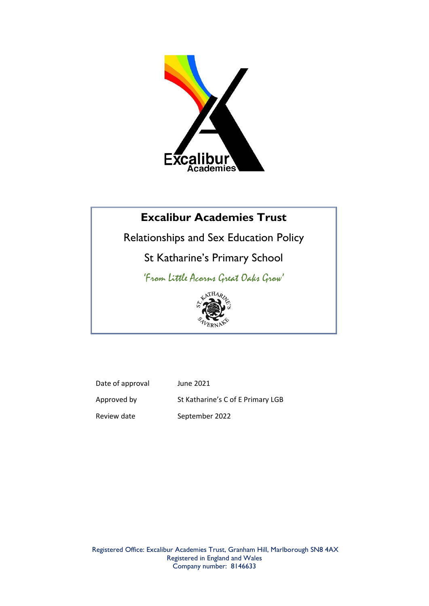

# **Excalibur Academies Trust**

Relationships and Sex Education Policy

St Katharine's Primary School

'From Little Acorns Great Oaks Grow'



Date of approval June 2021 Approved by St Katharine's C of E Primary LGB Review date September 2022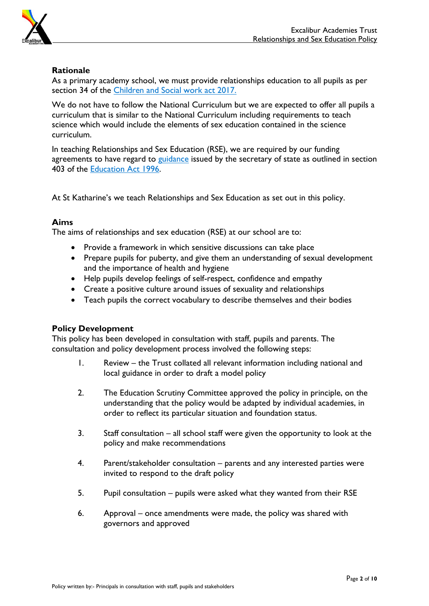

# **Rationale**

As a primary academy school, we must provide relationships education to all pupils as per section 34 of the [Children and Social work act 2017.](http://www.legislation.gov.uk/ukpga/2017/16/section/34/enacted)

We do not have to follow the National Curriculum but we are expected to offer all pupils a curriculum that is similar to the National Curriculum including requirements to teach science which would include the elements of sex education contained in the science curriculum.

In teaching Relationships and Sex Education (RSE), we are required by our funding agreements to have regard to [guidance](https://www.gov.uk/government/consultations/relationships-and-sex-education-and-health-education) issued by the secretary of state as outlined in section 403 of the [Education Act 1996.](http://www.legislation.gov.uk/ukpga/1996/56/contents)

At St Katharine's we teach Relationships and Sex Education as set out in this policy.

# **Aims**

The aims of relationships and sex education (RSE) at our school are to:

- Provide a framework in which sensitive discussions can take place
- Prepare pupils for puberty, and give them an understanding of sexual development and the importance of health and hygiene
- Help pupils develop feelings of self-respect, confidence and empathy
- Create a positive culture around issues of sexuality and relationships
- Teach pupils the correct vocabulary to describe themselves and their bodies

### **Policy Development**

This policy has been developed in consultation with staff, pupils and parents. The consultation and policy development process involved the following steps:

- 1. Review the Trust collated all relevant information including national and local guidance in order to draft a model policy
- 2. The Education Scrutiny Committee approved the policy in principle, on the understanding that the policy would be adapted by individual academies, in order to reflect its particular situation and foundation status.
- 3. Staff consultation all school staff were given the opportunity to look at the policy and make recommendations
- 4. Parent/stakeholder consultation parents and any interested parties were invited to respond to the draft policy
- 5. Pupil consultation pupils were asked what they wanted from their RSE
- 6. Approval once amendments were made, the policy was shared with governors and approved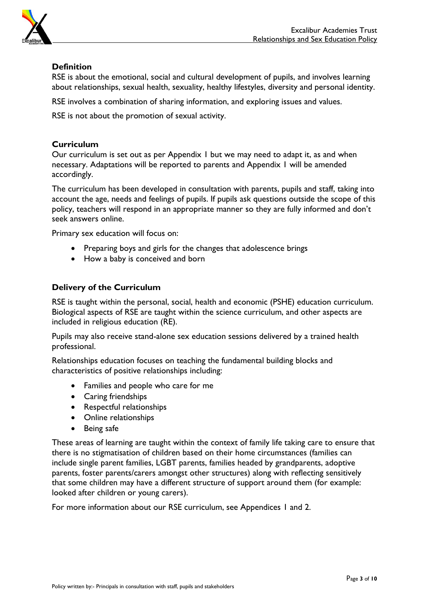

# **Definition**

RSE is about the emotional, social and cultural development of pupils, and involves learning about relationships, sexual health, sexuality, healthy lifestyles, diversity and personal identity.

RSE involves a combination of sharing information, and exploring issues and values.

RSE is not about the promotion of sexual activity.

# **Curriculum**

Our curriculum is set out as per Appendix 1 but we may need to adapt it, as and when necessary. Adaptations will be reported to parents and Appendix 1 will be amended accordingly.

The curriculum has been developed in consultation with parents, pupils and staff, taking into account the age, needs and feelings of pupils. If pupils ask questions outside the scope of this policy, teachers will respond in an appropriate manner so they are fully informed and don't seek answers online.

Primary sex education will focus on:

- Preparing boys and girls for the changes that adolescence brings
- How a baby is conceived and born

## **Delivery of the Curriculum**

RSE is taught within the personal, social, health and economic (PSHE) education curriculum. Biological aspects of RSE are taught within the science curriculum, and other aspects are included in religious education (RE).

Pupils may also receive stand-alone sex education sessions delivered by a trained health professional.

Relationships education focuses on teaching the fundamental building blocks and characteristics of positive relationships including:

- Families and people who care for me
- Caring friendships
- Respectful relationships
- Online relationships
- Being safe

These areas of learning are taught within the context of family life taking care to ensure that there is no stigmatisation of children based on their home circumstances (families can include single parent families, LGBT parents, families headed by grandparents, adoptive parents, foster parents/carers amongst other structures) along with reflecting sensitively that some children may have a different structure of support around them (for example: looked after children or young carers).

For more information about our RSE curriculum, see Appendices 1 and 2.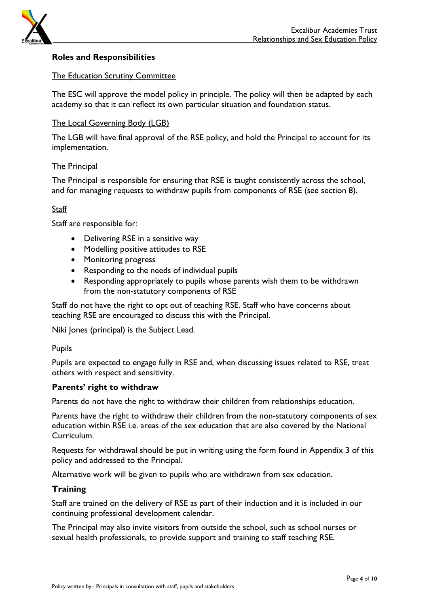

## **Roles and Responsibilities**

#### The Education Scrutiny Committee

The ESC will approve the model policy in principle. The policy will then be adapted by each academy so that it can reflect its own particular situation and foundation status.

#### The Local Governing Body (LGB)

The LGB will have final approval of the RSE policy, and hold the Principal to account for its implementation.

#### The Principal

The Principal is responsible for ensuring that RSE is taught consistently across the school, and for managing requests to withdraw pupils from components of RSE (see section 8).

#### **Staff**

Staff are responsible for:

- Delivering RSE in a sensitive way
- Modelling positive attitudes to RSE
- Monitoring progress
- Responding to the needs of individual pupils
- Responding appropriately to pupils whose parents wish them to be withdrawn from the non-statutory components of RSE

Staff do not have the right to opt out of teaching RSE. Staff who have concerns about teaching RSE are encouraged to discuss this with the Principal.

Niki Jones (principal) is the Subject Lead.

#### **Pupils**

Pupils are expected to engage fully in RSE and, when discussing issues related to RSE, treat others with respect and sensitivity.

#### **Parents' right to withdraw**

Parents do not have the right to withdraw their children from relationships education.

Parents have the right to withdraw their children from the non-statutory components of sex education within RSE i.e. areas of the sex education that are also covered by the National Curriculum.

Requests for withdrawal should be put in writing using the form found in Appendix 3 of this policy and addressed to the Principal.

Alternative work will be given to pupils who are withdrawn from sex education.

#### **Training**

Staff are trained on the delivery of RSE as part of their induction and it is included in our continuing professional development calendar.

The Principal may also invite visitors from outside the school, such as school nurses or sexual health professionals, to provide support and training to staff teaching RSE.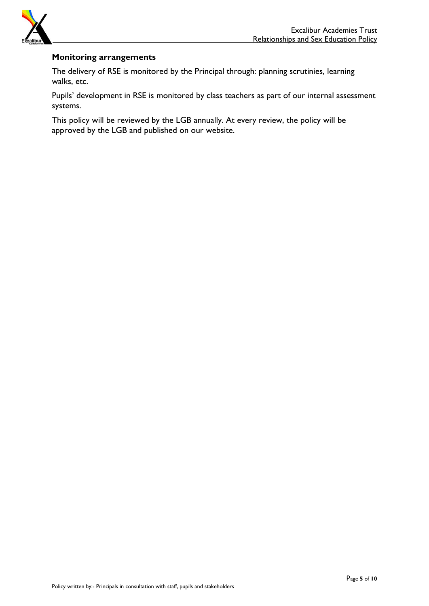

## **Monitoring arrangements**

The delivery of RSE is monitored by the Principal through: planning scrutinies, learning walks, etc.

Pupils' development in RSE is monitored by class teachers as part of our internal assessment systems.

This policy will be reviewed by the LGB annually. At every review, the policy will be approved by the LGB and published on our website.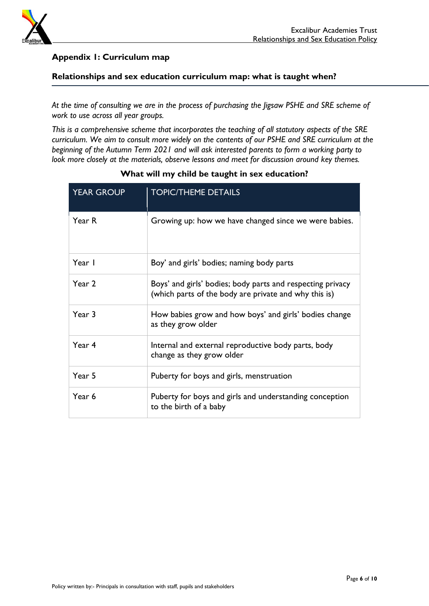

# **Appendix 1: Curriculum map**

## **Relationships and sex education curriculum map: what is taught when?**

*At the time of consulting we are in the process of purchasing the Jigsaw PSHE and SRE scheme of work to use across all year groups.*

*This is a comprehensive scheme that incorporates the teaching of all statutory aspects of the SRE curriculum. We aim to consult more widely on the contents of our PSHE and SRE curriculum at the beginning of the Autumn Term 2021 and will ask interested parents to form a working party to look more closely at the materials, observe lessons and meet for discussion around key themes.* 

| <b>YEAR GROUP</b> | <b>TOPIC/THEME DETAILS</b>                                                                                          |  |
|-------------------|---------------------------------------------------------------------------------------------------------------------|--|
| Year R            | Growing up: how we have changed since we were babies.                                                               |  |
| Year I            | Boy' and girls' bodies; naming body parts                                                                           |  |
| Year 2            | Boys' and girls' bodies; body parts and respecting privacy<br>(which parts of the body are private and why this is) |  |
| Year 3            | How babies grow and how boys' and girls' bodies change<br>as they grow older                                        |  |
| Year 4            | Internal and external reproductive body parts, body<br>change as they grow older                                    |  |
| Year 5            | Puberty for boys and girls, menstruation                                                                            |  |
| Year 6            | Puberty for boys and girls and understanding conception<br>to the birth of a baby                                   |  |

# **What will my child be taught in sex education?**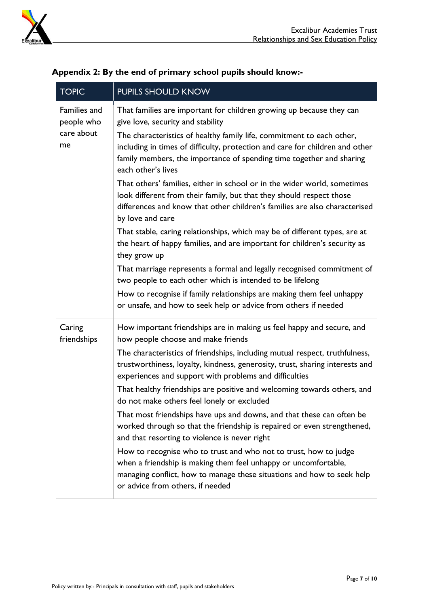

| <b>TOPIC</b>               | PUPILS SHOULD KNOW                                                                                                                                                                                                                                  |  |  |  |
|----------------------------|-----------------------------------------------------------------------------------------------------------------------------------------------------------------------------------------------------------------------------------------------------|--|--|--|
| Families and<br>people who | That families are important for children growing up because they can<br>give love, security and stability                                                                                                                                           |  |  |  |
| care about<br>me           | The characteristics of healthy family life, commitment to each other,<br>including in times of difficulty, protection and care for children and other<br>family members, the importance of spending time together and sharing<br>each other's lives |  |  |  |
|                            | That others' families, either in school or in the wider world, sometimes<br>look different from their family, but that they should respect those<br>differences and know that other children's families are also characterised<br>by love and care  |  |  |  |
|                            | That stable, caring relationships, which may be of different types, are at<br>the heart of happy families, and are important for children's security as<br>they grow up                                                                             |  |  |  |
|                            | That marriage represents a formal and legally recognised commitment of<br>two people to each other which is intended to be lifelong                                                                                                                 |  |  |  |
|                            | How to recognise if family relationships are making them feel unhappy<br>or unsafe, and how to seek help or advice from others if needed                                                                                                            |  |  |  |
| Caring<br>friendships      | How important friendships are in making us feel happy and secure, and<br>how people choose and make friends                                                                                                                                         |  |  |  |
|                            | The characteristics of friendships, including mutual respect, truthfulness,<br>trustworthiness, loyalty, kindness, generosity, trust, sharing interests and<br>experiences and support with problems and difficulties                               |  |  |  |
|                            | That healthy friendships are positive and welcoming towards others, and<br>do not make others feel lonely or excluded                                                                                                                               |  |  |  |
|                            | That most friendships have ups and downs, and that these can often be<br>worked through so that the friendship is repaired or even strengthened,<br>and that resorting to violence is never right                                                   |  |  |  |
|                            | How to recognise who to trust and who not to trust, how to judge<br>when a friendship is making them feel unhappy or uncomfortable,<br>managing conflict, how to manage these situations and how to seek help<br>or advice from others, if needed   |  |  |  |

# **Appendix 2: By the end of primary school pupils should know:-**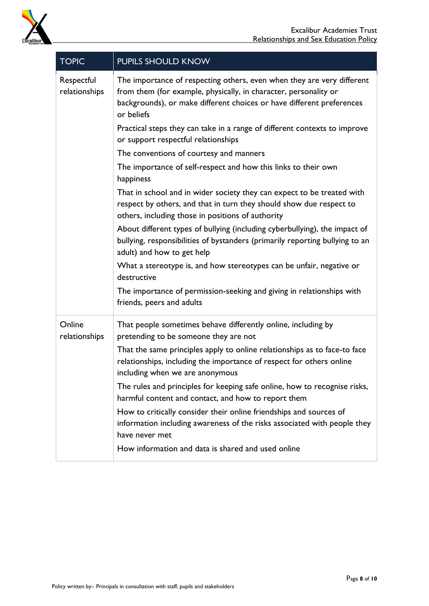

| <b>TOPIC</b>                | PUPILS SHOULD KNOW                                                                                                                                                                                                                |  |  |
|-----------------------------|-----------------------------------------------------------------------------------------------------------------------------------------------------------------------------------------------------------------------------------|--|--|
| Respectful<br>relationships | The importance of respecting others, even when they are very different<br>from them (for example, physically, in character, personality or<br>backgrounds), or make different choices or have different preferences<br>or beliefs |  |  |
|                             | Practical steps they can take in a range of different contexts to improve<br>or support respectful relationships                                                                                                                  |  |  |
|                             | The conventions of courtesy and manners                                                                                                                                                                                           |  |  |
|                             | The importance of self-respect and how this links to their own<br>happiness                                                                                                                                                       |  |  |
|                             | That in school and in wider society they can expect to be treated with<br>respect by others, and that in turn they should show due respect to<br>others, including those in positions of authority                                |  |  |
|                             | About different types of bullying (including cyberbullying), the impact of<br>bullying, responsibilities of bystanders (primarily reporting bullying to an<br>adult) and how to get help                                          |  |  |
|                             | What a stereotype is, and how stereotypes can be unfair, negative or<br>destructive                                                                                                                                               |  |  |
|                             | The importance of permission-seeking and giving in relationships with<br>friends, peers and adults                                                                                                                                |  |  |
| Online<br>relationships     | That people sometimes behave differently online, including by<br>pretending to be someone they are not                                                                                                                            |  |  |
|                             | That the same principles apply to online relationships as to face-to face<br>relationships, including the importance of respect for others online<br>including when we are anonymous                                              |  |  |
|                             | The rules and principles for keeping safe online, how to recognise risks,<br>harmful content and contact, and how to report them                                                                                                  |  |  |
|                             | How to critically consider their online friendships and sources of<br>information including awareness of the risks associated with people they                                                                                    |  |  |
|                             | have never met                                                                                                                                                                                                                    |  |  |
|                             | How information and data is shared and used online                                                                                                                                                                                |  |  |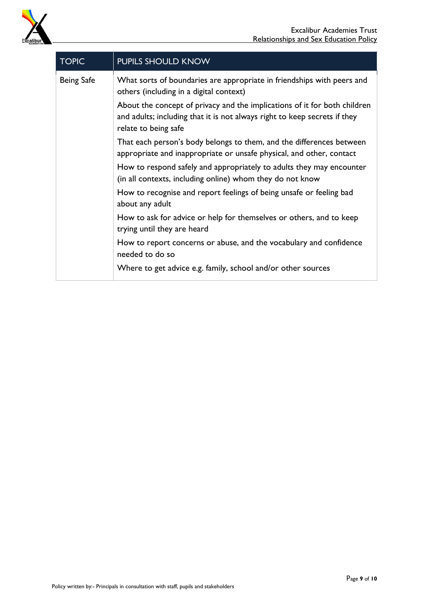

| <b>TOPIC</b>      | PUPILS SHOULD KNOW                                                                                                                                                             |  |  |
|-------------------|--------------------------------------------------------------------------------------------------------------------------------------------------------------------------------|--|--|
| <b>Being Safe</b> | What sorts of boundaries are appropriate in friendships with peers and<br>others (including in a digital context)                                                              |  |  |
|                   | About the concept of privacy and the implications of it for both children<br>and adults; including that it is not always right to keep secrets if they<br>relate to being safe |  |  |
|                   | That each person's body belongs to them, and the differences between<br>appropriate and inappropriate or unsafe physical, and other, contact                                   |  |  |
|                   | How to respond safely and appropriately to adults they may encounter<br>(in all contexts, including online) whom they do not know                                              |  |  |
|                   | How to recognise and report feelings of being unsafe or feeling bad<br>about any adult                                                                                         |  |  |
|                   | How to ask for advice or help for themselves or others, and to keep<br>trying until they are heard                                                                             |  |  |
|                   | How to report concerns or abuse, and the vocabulary and confidence<br>needed to do so                                                                                          |  |  |
|                   | Where to get advice e.g. family, school and/or other sources                                                                                                                   |  |  |